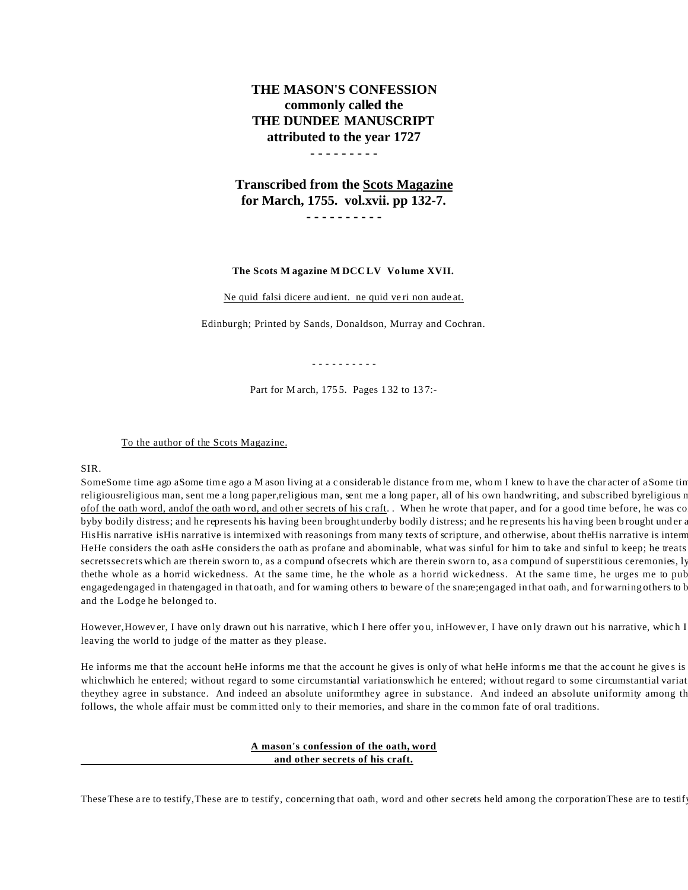# **THE MASON'S CONFESSION commonly called the THE DUNDEE MANUSCRIPT attributed to the year 1727**

## **- - - - - - - - -**

**Transcribed from the Scots Magazine for March, 1755. vol.xvii. pp 132-7. - - - - - - - - - -**

#### **The Scots M agazine M DCC LV Vo lume XVII.**

Ne quid falsi dicere aud ient. ne quid ve ri non aude at.

Edinburgh; Printed by Sands, Donaldson, Murray and Cochran.

**- - - - - - - - - -**

Part for M arch, 175 5. Pages 1 32 to 13 7:-

To the author of the Scots Magazine.

SIR.

SomeSome time ago aSome time ago a M ason living at a considerable distance from me, whom I knew to have the character of aSome tin religiousreligious man, sent me a long paper,religious man, sent me a long paper, all of his own handwriting, and subscribed byreligious r ofof the oath word, andof the oath word, and other secrets of his craft. . When he wrote that paper, and for a good time before, he was co byby bodily distress; and he represents his having been brought underby bodily distress; and he represents his having been brought under a HisHis narrative isHis narrative is intermixed with reasonings from many texts of scripture, and otherwise, about theHis narrative is interm HeHe considers the oath asHe considers the oath as profane and abominable, what was sinful for him to take and sinful to keep; he treats secretssecrets which are therein sworn to, as a compund of secrets which are therein sworn to, as a compund of superstitious ceremonies, ly thethe whole as a horrid wickedness. At the same time, he the whole as a horrid wickedness. At the same time, he urges me to pub engagedengaged in thatengaged in that oath, and for warning others to beware of the snare; engaged in that oath, and for warning others to b and the Lodge he belonged to.

However, However, I have only drawn out his narrative, which I here offer you, inHowever, I have only drawn out his narrative, which I leaving the world to judge of the matter as they please.

He informs me that the account heHe informs me that the account he gives is only of what heHe informs me that the account he gives is whichwhich he entered; without regard to some circumstantial variationswhich he entered; without regard to some circumstantial variat theythey agree in substance. And indeed an absolute uniformthey agree in substance. And indeed an absolute uniformity among the follows, the whole affair must be committed only to their memories, and share in the common fate of oral traditions.

## **A mason's confession of the oath, word and other secrets of his craft.**

These These are to testify, These are to testify, concerning that oath, word and other secrets held among the corporation These are to testif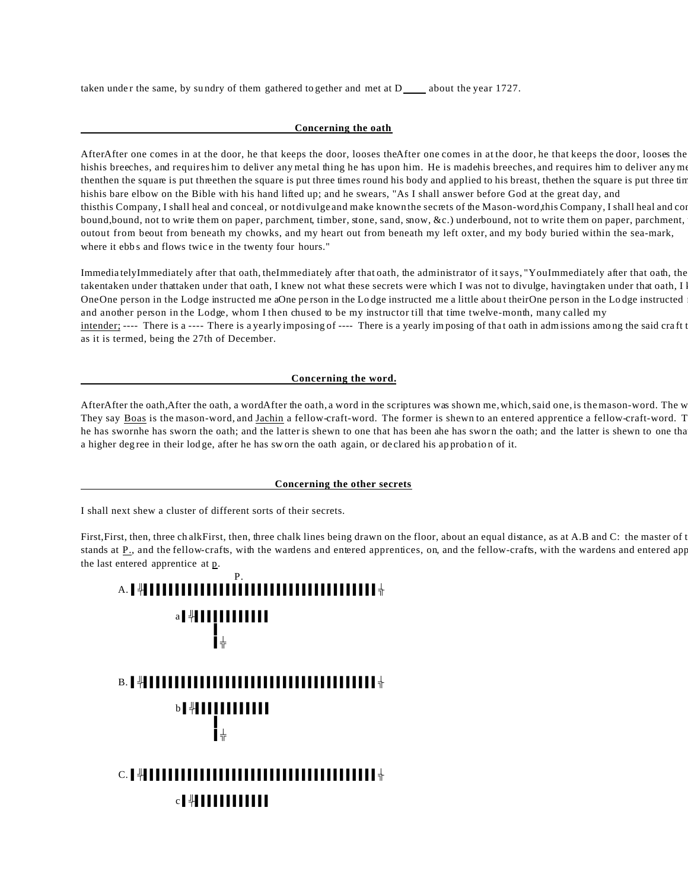taken under the same, by sundry of them gathered to gether and met at  $D_$  about the year 1727.

## **Concerning the oath**

AfterAfter one comes in at the door, he that keeps the door, looses theAfter one comes in at the door, he that keeps the door, looses the hishis breeches, and requires him to deliver any metal thing he has upon him. He is madehis breeches, and requires him to deliver any mo then the square is put three then the square is put three times round his body and applied to his breast, the then the square is put three tin hishis bare elbow on the Bible with his hand lifted up; and he swears, "As I shall answer before God at the great day, and thisthis Company, I shall heal and conceal, or not divulge and make known the secrets of the Mason-word, this Company, I shall heal and co bound, bound, not to write them on paper, parchment, timber, stone, sand, snow, &c.) underbound, not to write them on paper, parchment, outout from beout from beneath my chowks, and my heart out from beneath my left oxter, and my body buried within the sea-mark, where it ebbs and flows twice in the twenty four hours."

ImmediatelyImmediately after that oath, theImmediately after that oath, the administrator of it says, "YouImmediately after that oath, the takentaken under thattaken under that oath, I knew not what these secrets were which I was not to divulge, havingtaken under that oath, I OneOne person in the Lodge instructed me aOne person in the Lodge instructed me a little about theirOne person in the Lodge instructed and another person in the Lodge, whom I then chused to be my instructor till that time twelve-month, many called my intender; ---- There is a ---- There is a yearly imposing of ---- There is a yearly imposing of that oath in admissions among the said craft t as it is termed, being the 27th of December.

## **Concerning the word.**

AfterAfter the oath,After the oath, a wordAfter the oath, a word in the scriptures was shown me, which, said one, is the mason-word. The w They say Boas is the mason-word, and Jachin a fellow-craft-word. The former is shewn to an entered apprentice a fellow-craft-word. T he has swornhe has sworn the oath; and the latter is shewn to one that has been ahe has sworn the oath; and the latter is shewn to one that a higher deg ree in their lod ge, after he has sw orn the oath again, or de clared his ap probatio n of it.

### **Concerning the other secrets**

I shall next shew a cluster of different sorts of their secrets.

First, First, then, three chalkFirst, then, three chalk lines being drawn on the floor, about an equal distance, as at A.B and C: the master of t stands at P<sub>1</sub>, and the fellow-crafts, with the wardens and entered apprentices, on, and the fellow-crafts, with the wardens and entered appr the last entered apprentice at p.

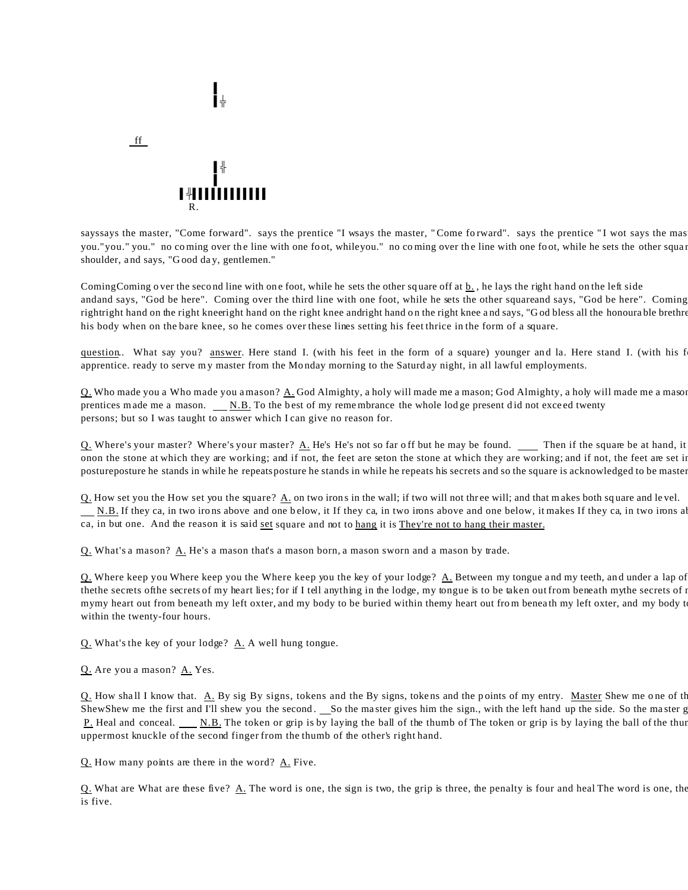

|<br>|⊥

%-

ff

und and the state of the state of the state of the state of the state of the state of the state of the state o

sayssays the master, "Come forward". says the prentice "I wsays the master, "Come forward". says the prentice "I wot says the mas you." you." no coming over the line with one foot, whileyou." no coming over the line with one foot, while he sets the other square shoulder, a nd says, "G ood da y, gentlemen."

Coming Coming o ver the second line with one foot, while he sets the other square off at  $\underline{b}$ , he lays the right hand on the left side andand says, "God be here". Coming over the third line with one foot, while he sets the other squareand says, "God be here". Coming rightright hand on the right kneeright hand on the right knee andright hand on the right knee and says, "God bless all the honoura ble brethre his body when on the bare knee, so he comes over these lines setting his feet thrice in the form of a square.

question. What say you? answer. Here stand I. (with his feet in the form of a square) younger and la. Here stand I. (with his f apprentice. ready to serve my master from the Monday morning to the Saturd ay night, in all lawful employments.

Q. Who made you a Who made you a mason? A. God Almighty, a holy will made me a mason; God Almighty, a holy will made me a mason prentices made me a mason.  $N.B.$  To the best of my remembrance the whole lod ge present did not exceed twenty persons; but so I was taught to answer which I can give no reason for.

Q. Where's your master? Where's your master? A. He's He's not so far off but he may be found. \_\_\_\_ Then if the square be at hand, it onon the stone at which they are working; and if not, the feet are seton the stone at which they are working; and if not, the feet are set in posture posture he stands in while he repeats posture he stands in while he repeats his secrets and so the square is acknowledged to be master

 $Q$ . How set you the How set you the square?  $\underline{A}$  on two irons in the wall; if two will not three will; and that makes both square and level.  $\underline{\text{N.B.}}$  If they ca, in two irons above and one below, it If they ca, in two irons above and one below, it makes If they ca, in two irons all ca, in but one. And the reason it is said set square and not to hang it is They're not to hang their master.

Q. What's a mason? A. He's a mason that's a mason born, a mason sworn and a mason by trade.

 $Q$ . Where keep you Where keep you the Where keep you the key of your lodge?  $\underline{A}$ . Between my tongue and my teeth, and under a lap of thethe secrets of the secrets of my heart lies; for if I tell anything in the lodge, my tongue is to be taken out from beneath mythe secrets of i mymy heart out from beneath my left oxter, and my body to be buried within themy heart out from beneath my left oxter, and my body t within the twenty-four hours.

Q. What's the key of your lodge? A. A well hung tongue.

Q. Are you a mason? A. Yes.

Q. How shall I know that. A. By sig By signs, tokens and the By signs, tokens and the points of my entry. Master Shew me one of the ShewShew me the first and I'll shew you the second. So the master gives him the sign., with the left hand up the side. So the master g P. Heal and conceal. N.B. The token or grip is by laying the ball of the thumb of The token or grip is by laying the ball of the thun uppermost knuckle of the second finger from the thumb of the other's right hand.

 $Q.$  How many points are there in the word?  $\underline{A}$ . Five.

Q. What are What are these five?  $\underline{A}$ . The word is one, the sign is two, the grip is three, the penalty is four and heal The word is one, the is five.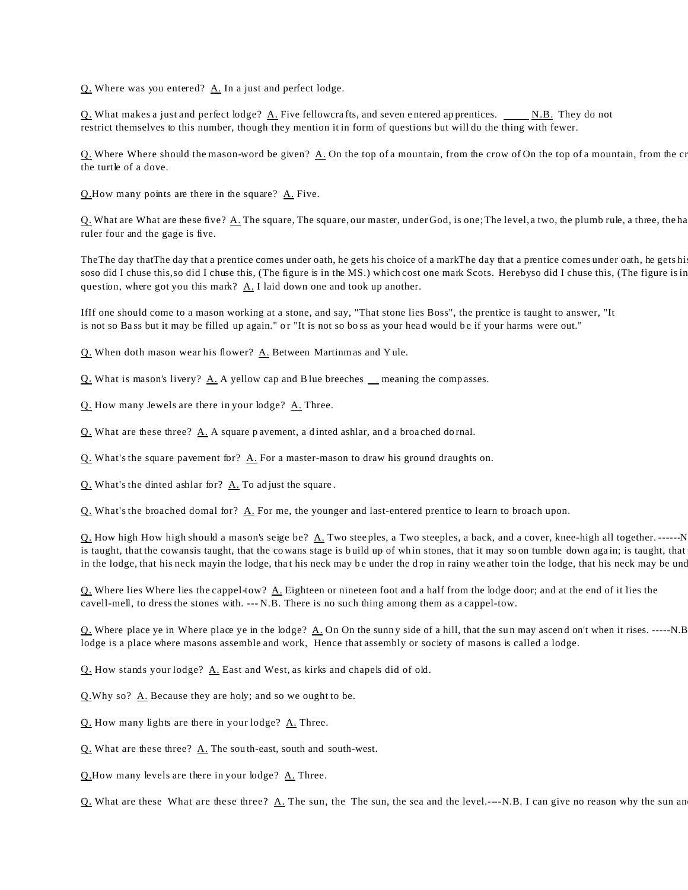Q. Where was you entered? A. In a just and perfect lodge.

Q. What makes a just and perfect lodge? A. Five fellowcrafts, and seven entered apprentices. \_\_\_\_\_ N.B. They do not restrict themselves to this number, though they mention it in form of questions but will do the thing with fewer.

Q. Where Where should the mason-word be given? A. On the top of a mountain, from the crow of On the top of a mountain, from the cr the turtle of a dove.

Q.How many points are there in the square? A. Five.

Q. What are What are these five? A. The square, The square, our master, under God, is one; The level, a two, the plumb rule, a three, the ha ruler four and the gage is five.

The The day that The day that a prentice comes under oath, he gets his choice of a mark The day that a prentice comes under oath, he gets hi soso did I chuse this, so did I chuse this, (The figure is in the MS.) which cost one mark Scots. Herebyso did I chuse this, (The figure is in question, where got you this mark?  $\underline{A}$ . I laid down one and took up another.

IfIf one should come to a mason working at a stone, and say, "That stone lies Boss", the prentice is taught to answer, "It is not so Bass but it may be filled up again." or "It is not so boss as your head would be if your harms were out."

Q. When doth mason wear his flower? A. Between Martinmas and Y ule.

Q. What is mason's livery? A. A yellow cap and B lue breeches meaning the comp asses.

Q. How many Jewels are there in your lodge? A. Three.

 $Q$ . What are these three?  $\underline{A}$ . A square p avement, a d inted ashlar, and a broached do rnal.

 $Q$ . What's the square pavement for?  $\Delta$ . For a master-mason to draw his ground draughts on.

Q. What's the dinted ashlar for? A. To adjust the square.

Q. What's the broached dornal for? A. For me, the younger and last-entered prentice to learn to broach upon.

 $Q$ . How high How high should a mason's seige be?  $\underline{A}$ . Two steeples, a Two steeples, a back, and a cover, knee-high all together. ------N is taught, that the cowansis taught, that the cowans stage is build up of whin stones, that it may soon tumble down again; is taught, that in the lodge, that his neck mayin the lodge, that his neck may be under the drop in rainy we ather toin the lodge, that his neck may be under

Q. Where lies Where lies the cappel-tow?  $\underline{A}$ . Eighteen or nineteen foot and a half from the lodge door; and at the end of it lies the cavell-mell, to dress the stones with. --- N.B. There is no such thing among them as a cappel-tow.

 $Q$ . Where place ye in Where place ye in the lodge?  $\underline{A}$ . On On the sunny side of a hill, that the sun may ascend on't when it rises. -----N.B lodge is a place where masons assemble and work, Hence that assembly or society of masons is called a lodge.

Q. How stands your lodge? A. East and West, as kirks and chapels did of old.

Q.Why so? A. Because they are holy; and so we ought to be.

Q. How many lights are there in your lodge? A. Three.

Q. What are these three? A. The sou th-east, south and south-west.

Q.How many levels are there in your lodge? A. Three.

Q. What are these What are these three?  $\underline{A}$ . The sun, the The sun, the sea and the level.---N.B. I can give no reason why the sun an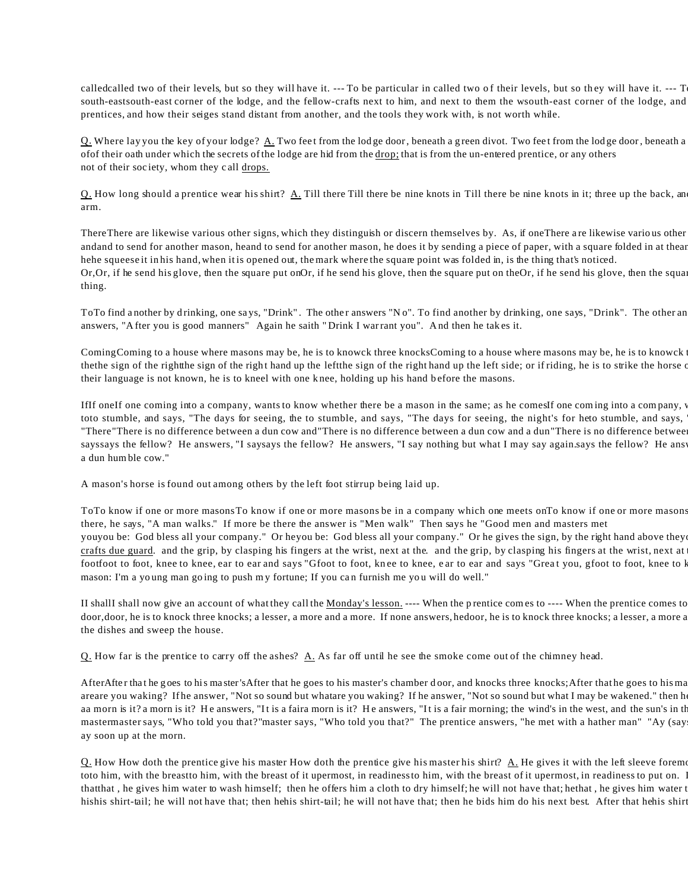calledcalled two of their levels, but so they will have it. --- To be particular in called two of their levels, but so they will have it. --- T south-eastsouth-east corner of the lodge, and the fellow-crafts next to him, and next to them the wsouth-east corner of the lodge, and prentices, and how their seiges stand distant from another, and the tools they work with, is not worth while.

Q. Where lay you the key of your lodge? A. Two feet from the lodge door, beneath a green divot. Two feet from the lodge door, beneath a of their oath under which the secrets of the lodge are hid from the <u>drop;</u> that is from the un-entered prentice, or any others not of their soc iety, whom they c all drops.

Q. How long should a prentice wear his shirt?  $\underline{A}$ . Till there  $\underline{A}$  in the show in Till there be nine knots in it; three up the back, and the back, and the values of  $\underline{A}$ . Till there  $\underline{B}$  in the values of arm.

There There are likewise various other signs, which they distinguish or discern themselves by. As, if one There are likewise various other andand to send for another mason, heand to send for another mason, he does it by sending a piece of paper, with a square folded in at thear hehe squeese it in his hand, when it is opened out, the mark where the square point was folded in, is the thing that's noticed. Or, Or, if he send his glove, then the square put on Or, if he send his glove, then the square put on the Or, if he send his glove, then the squa thing.

To To find another by drinking, one says, "Drink". The other answers "No". To find another by drinking, one says, "Drink". The other an answers, "A fter you is good manners" Again he saith " Drink I warrant you". A nd then he tak es it.

Coming Coming to a house where masons may be, he is to knowck three knocks Coming to a house where masons may be, he is to knowck thethe sign of the rightthe sign of the right hand up the leftthe sign of the right hand up the left side; or if riding, he is to strike the horse of their language is not known, he is to kneel with one k nee, holding up his hand b efore the masons.

IfIf oneIf one coming into a company, wants to know whether there be a mason in the same; as he comesIf one coming into a company, toto stumble, and says, "The days for seeing, the to stumble, and says, "The days for seeing, the night's for heto stumble, and says, "There"There is no difference between a dun cow and"There is no difference between a dun cow and a dun"There is no difference betwee sayssays the fellow? He answers, "I saysays the fellow? He answers, "I say nothing but what I may say again.says the fellow? He answers, here is no difference between a dun control. a dun humble cow."

A mason's horse is found out among others by the left foot stirrup being laid up.

ToTo know if one or more masonsTo know if one or more masons be in a company which one meets onTo know if one or more masons there, he says, "A man walks." If more be there the answer is "Men walk" Then says he "Good men and masters met youyou be: God bless all your company." Or heyou be: God bless all your company." Or he gives the sign, by the right hand above they crafts due guard. and the grip, by clasping his fingers at the wrist, next at the. and the grip, by clasping his fingers at the wrist, next at footfoot to foot, knee to knee, ear to ear and says "Gfoot to foot, knee to knee, ear to ear and says "Great you, gfoot to foot, knee to l mason: I'm a yo ung man go ing to push my fortune; If you can furnish me yo u will do well."

II shallI shall now give an account of what they call the Monday's lesson. ---- When the prentice comes to ---- When the prentice comes to door, door, he is to knock three knocks; a lesser, a more and a more. If none answers, hedoor, he is to knock three knocks; a lesser, a more a the dishes and sweep the house.

Q. How far is the prentice to carry off the ashes? A. As far off until he see the smoke come out of the chimney head.

After After that he goes to his master's After that he goes to his master's chamber door, and knocks three knocks; After that he goes to his ma areare you waking? If he answer, "Not so sound but whatare you waking? If he answer, "Not so sound but what I may be wakened." then h aa morn is it? a morn is it? He answers, "It is a faira morn is it? He answers, "It is a fair morning; the wind's in the west, and the sun's in th mastermaster says, "Who told you that?"master says, "Who told you that?" The prentice answers, "he met with a hather man" "Ay (say ay soon up at the morn.

Q. How How doth the prentice give his master How doth the prentice give his master his shirt?  $\Delta$ . He gives it with the left sleeve foremost, toto him, with the breastto him, with the breast of it upermost, in readiness to him, with the breast of it upermost, in readiness to put on. I that that, he gives him water to wash himself; then he offers him a cloth to dry himself; he will not have that; hethat, he gives him water t hishis shirt-tail; he will not have that; then hehis shirt-tail; he will not have that; then he bids him do his next best. After that hehis shirt